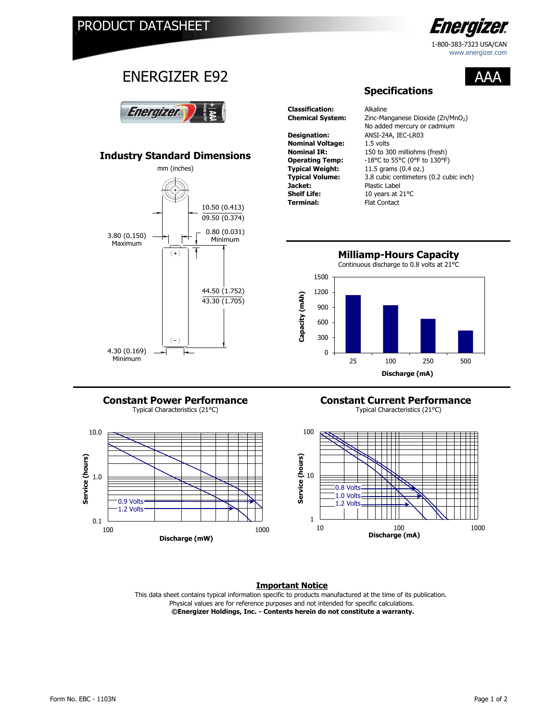

1-800-383-7323 / USA 1-800-383-7323 USA/CAN www.energizer.com

AAA

# ENERGIZER E92



## **Industry Standard Dimensions**



**Classification:** Alkaline **Designation:** ANSI-24A, IEC-LR03 **Nominal Voltage:** 1.5 volts<br>**Nominal IR:** 150 to 30 **Jacket:** Plastic Label<br> **Shelf Life:** 10 years at 2 **Shelf Life:** 10 years at 21°C<br> **Terminal:** Flat Contact

**Chemical System:** Zinc-Manganese Dioxide (Zn/MnO<sub>2</sub>) 150 to 300 milliohms (fresh) **Operating Temp:** -18°C to 55°C (0°F to 130°F)<br>**Typical Weight:** 11.5 grams (0.4 oz.) **Typical Weight:** 11.5 grams (0.4 oz.) **Typical Volume:** 3.8 cubic centimeters (0.2 cubic inch) **Flat Contact** No added mercury or cadmium

**Specifications**



#### Typical Characteristics (21°C) Typical Characteristics (21°C) **Constant Power Performance**



## **Constant Current Performance**



### **Important Notice**

This data sheet contains typical information specific to products manufactured at the time of its publication.  **©Energizer Holdings, Inc. - Contents herein do not constitute a warranty.** Physical values are for reference purposes and not intended for specific calculations.